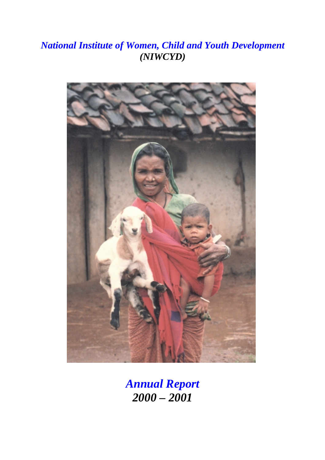# *National Institute of Women, Child and Youth Development (NIWCYD)*



*Annual Report 2000 – 2001*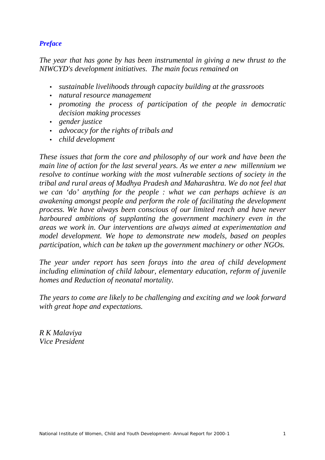### *Preface*

*The year that has gone by has been instrumental in giving a new thrust to the NIWCYD's development initiatives. The main focus remained on*

- *sustainable livelihoods through capacity building at the grassroots*
- *natural resource management*
- *promoting the process of participation of the people in democratic decision making processes*
- *gender justice*
- *advocacy for the rights of tribals and*
- *child development*

*These issues that form the core and philosophy of our work and have been the main line of action for the last several years. As we enter a new millennium we resolve to continue working with the most vulnerable sections of society in the tribal and rural areas of Madhya Pradesh and Maharashtra. We do not feel that we can 'do' anything for the people : what we can perhaps achieve is an awakening amongst people and perform the role of facilitating the development process. We have always been conscious of our limited reach and have never harboured ambitions of supplanting the government machinery even in the areas we work in. Our interventions are always aimed at experimentation and model development. We hope to demonstrate new models, based on peoples participation, which can be taken up the government machinery or other NGOs.*

*The year under report has seen forays into the area of child development including elimination of child labour, elementary education, reform of juvenile homes and Reduction of neonatal mortality.*

*The years to come are likely to be challenging and exciting and we look forward with great hope and expectations.*

*R K Malaviya Vice President*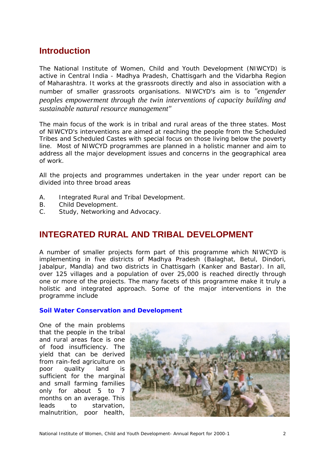# **Introduction**

The National Institute of Women, Child and Youth Development (NIWCYD) is active in Central India - Madhya Pradesh, Chattisgarh and the Vidarbha Region of Maharashtra. It works at the grassroots directly and also in association with a number of smaller grassroots organisations. NIWCYD's aim is to *"engender peoples empowerment through the twin interventions of capacity building and sustainable natural resource management"*

The main focus of the work is in tribal and rural areas of the three states. Most of NIWCYD's interventions are aimed at reaching the people from the Scheduled Tribes and Scheduled Castes with special focus on those living below the poverty line. Most of NIWCYD programmes are planned in a holistic manner and aim to address all the major development issues and concerns in the geographical area of work.

All the projects and programmes undertaken in the year under report can be divided into three broad areas

- A. Integrated Rural and Tribal Development.
- B. Child Development.
- C. Study, Networking and Advocacy.

# **INTEGRATED RURAL AND TRIBAL DEVELOPMENT**

A number of smaller projects form part of this programme which NIWCYD is implementing in five districts of Madhya Pradesh (Balaghat, Betul, Dindori, Jabalpur, Mandla) and two districts in Chattisgarh (Kanker and Bastar). In all, over 125 villages and a population of over 25,000 is reached directly through one or more of the projects. The many facets of this programme make it truly a holistic and integrated approach. Some of the major interventions in the programme include

#### **Soil Water Conservation and Development**

One of the main problems that the people in the tribal and rural areas face is one of food insufficiency. The yield that can be derived from rain-fed agriculture on poor quality land is sufficient for the marginal and small farming families only for about 5 to 7 months on an average. This leads to starvation, malnutrition, poor health,

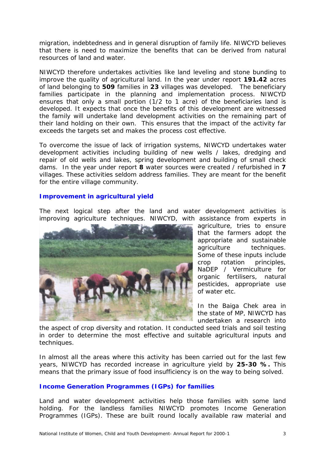migration, indebtedness and in general disruption of family life. NIWCYD believes that there is need to maximize the benefits that can be derived from natural resources of land and water.

NIWCYD therefore undertakes activities like land leveling and stone bunding to improve the quality of agricultural land. In the year under report **191.42** acres of land belonging to **509** families in **23** villages was developed. The beneficiary families participate in the planning and implementation process. NIWCYD ensures that only a small portion (1/2 to 1 acre) of the beneficiaries land is developed. It expects that once the benefits of this development are witnessed the family will undertake land development activities on the remaining part of their land holding on their own. This ensures that the impact of the activity far exceeds the targets set and makes the process cost effective.

To overcome the issue of lack of irrigation systems, NIWCYD undertakes water development activities including building of new wells / lakes, dredging and repair of old wells and lakes, spring development and building of small check dams. In the year under report **8** water sources were created / refurbished in **7** villages. These activities seldom address families. They are meant for the benefit for the entire village community.

#### **Improvement in agricultural yield**

The next logical step after the land and water development activities is improving agriculture techniques. NIWCYD, with assistance from experts in



agriculture, tries to ensure that the farmers adopt the appropriate and sustainable agriculture techniques. Some of these inputs include crop rotation principles, NaDEP / Vermiculture for organic fertilisers, natural pesticides, appropriate use of water etc.

In the Baiga Chek area in the state of MP, NIWCYD has undertaken a research into

the aspect of crop diversity and rotation. It conducted seed trials and soil testing in order to determine the most effective and suitable agricultural inputs and techniques.

In almost all the areas where this activity has been carried out for the last few years, NIWCYD has recorded increase in agriculture yield by **25-30 %.** This means that the primary issue of food insufficiency is on the way to being solved.

#### **Income Generation Programmes (IGPs) for families**

Land and water development activities help those families with some land holding. For the landless families NIWCYD promotes Income Generation Programmes (IGPs). These are built round locally available raw material and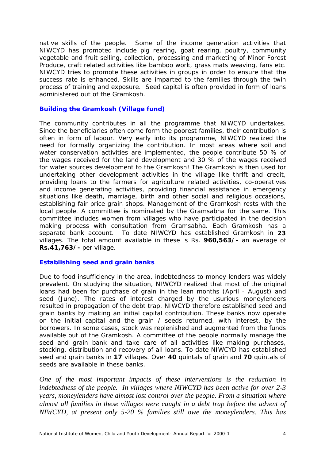native skills of the people. Some of the income generation activities that NIWCYD has promoted include pig rearing, goat rearing, poultry, community vegetable and fruit selling, collection, processing and marketing of Minor Forest Produce, craft related activities like bamboo work, grass mats weaving, fans etc. NIWCYD tries to promote these activities in groups in order to ensure that the success rate is enhanced. Skills are imparted to the families through the twin process of training and exposure. Seed capital is often provided in form of loans administered out of the Gramkosh.

#### **Building the Gramkosh (Village fund)**

The community contributes in all the programme that NIWCYD undertakes. Since the beneficiaries often come form the poorest families, their contribution is often in form of labour. Very early into its programme, NIWCYD realized the need for formally organizing the contribution. In most areas where soil and water conservation activities are implemented, the people contribute 50 % of the wages received for the land development and 30 % of the wages received for water sources development to the Gramkosh! The Gramkosh is then used for undertaking other development activities in the village like thrift and credit, providing loans to the farmers for agriculture related activities, co-operatives and income generating activities, providing financial assistance in emergency situations like death, marriage, birth and other social and religious occasions, establishing fair price grain shops. Management of the Gramkosh rests with the local people. A committee is nominated by the Gramsabha for the same. This committee includes women from villages who have participated in the decision making process with consultation from Gramsabha. Each Gramkosh has a separate bank account. To date NIWCYD has established Gramkosh in **23** villages. The total amount available in these is Rs. **960,563/-** an average of **Rs.41,763/-** per village.

#### **Establishing seed and grain banks**

Due to food insufficiency in the area, indebtedness to money lenders was widely prevalent. On studying the situation, NIWCYD realized that most of the original loans had been for purchase of grain in the lean months (April - August) and seed (June). The rates of interest charged by the usurious moneylenders resulted in propagation of the debt trap. NIWCYD therefore established seed and grain banks by making an initial capital contribution. These banks now operate on the initial capital and the grain / seeds returned, with interest, by the borrowers. In some cases, stock was replenished and augmented from the funds available out of the Gramkosh. A committee of the people normally manage the seed and grain bank and take care of all activities like making purchases, stocking, distribution and recovery of all loans. To date NIWCYD has established seed and grain banks in **17** villages. Over **40** quintals of grain and **70** quintals of seeds are available in these banks.

*One of the most important impacts of these interventions is the reduction in indebtedness of the people. In villages where NIWCYD has been active for over 2-3 years, moneylenders have almost lost control over the people. From a situation where almost all families in these villages were caught in a debt trap before the advent of NIWCYD, at present only 5-20 % families still owe the moneylenders. This has*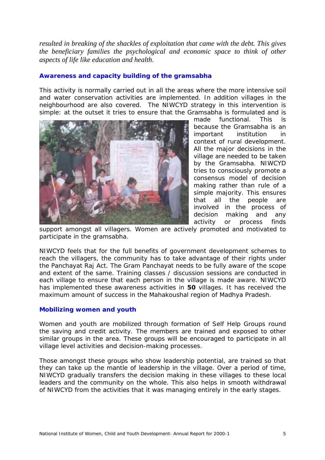*resulted in breaking of the shackles of exploitation that came with the debt. This gives the beneficiary families the psychological and economic space to think of other aspects of life like education and health.*

#### **Awareness and capacity building of the gramsabha**

This activity is normally carried out in all the areas where the more intensive soil and water conservation activities are implemented. In addition villages in the neighbourhood are also covered. The NIWCYD strategy in this intervention is simple: at the outset it tries to ensure that the Gramsabha is formulated and is



made functional. This is because the Gramsabha is an important institution in context of rural development. All the major decisions in the village are needed to be taken by the Gramsabha. NIWCYD tries to consciously promote a consensus model of decision making rather than rule of a simple majority. This ensures that all the people are involved in the process of decision making and any activity or process finds

support amongst all villagers. Women are actively promoted and motivated to participate in the gramsabha.

NIWCYD feels that for the full benefits of government development schemes to reach the villagers, the community has to take advantage of their rights under the Panchayat Raj Act. The Gram Panchayat needs to be fully aware of the scope and extent of the same. Training classes / discussion sessions are conducted in each village to ensure that each person in the village is made aware. NIWCYD has implemented these awareness activities in **50** villages. It has received the maximum amount of success in the Mahakoushal region of Madhya Pradesh.

#### **Mobilizing women and youth**

Women and youth are mobilized through formation of Self Help Groups round the saving and credit activity. The members are trained and exposed to other similar groups in the area. These groups will be encouraged to participate in all village level activities and decision-making processes.

Those amongst these groups who show leadership potential, are trained so that they can take up the mantle of leadership in the village. Over a period of time, NIWCYD gradually transfers the decision making in these villages to these local leaders and the community on the whole. This also helps in smooth withdrawal of NIWCYD from the activities that it was managing entirely in the early stages.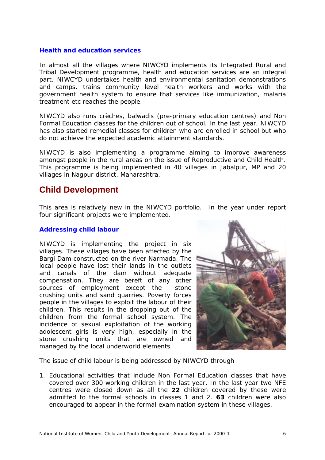#### **Health and education services**

In almost all the villages where NIWCYD implements its Integrated Rural and Tribal Development programme, health and education services are an integral part. NIWCYD undertakes health and environmental sanitation demonstrations and camps, trains community level health workers and works with the government health system to ensure that services like immunization, malaria treatment etc reaches the people.

NIWCYD also runs crèches, balwadis (pre-primary education centres) and Non Formal Education classes for the children out of school. In the last year, NIWCYD has also started remedial classes for children who are enrolled in school but who do not achieve the expected academic attainment standards.

NIWCYD is also implementing a programme aiming to improve awareness amongst people in the rural areas on the issue of Reproductive and Child Health. This programme is being implemented in 40 villages in Jabalpur, MP and 20 villages in Nagpur district, Maharashtra.

# **Child Development**

This area is relatively new in the NIWCYD portfolio. In the year under report four significant projects were implemented.

#### **Addressing child labour**

NIWCYD is implementing the project in six villages. These villages have been affected by the Bargi Dam constructed on the river Narmada. The local people have lost their lands in the outlets and canals of the dam without adequate compensation. They are bereft of any other sources of employment except the stone crushing units and sand quarries. Poverty forces people in the villages to exploit the labour of their children. This results in the dropping out of the children from the formal school system. The incidence of sexual exploitation of the working adolescent girls is very high, especially in the stone crushing units that are owned and managed by the local underworld elements.



The issue of child labour is being addressed by NIWCYD through

1. Educational activities that include Non Formal Education classes that have covered over 300 working children in the last year. In the last year two NFE centres were closed down as all the **22** children covered by these were admitted to the formal schools in classes 1 and 2. **63** children were also encouraged to appear in the formal examination system in these villages.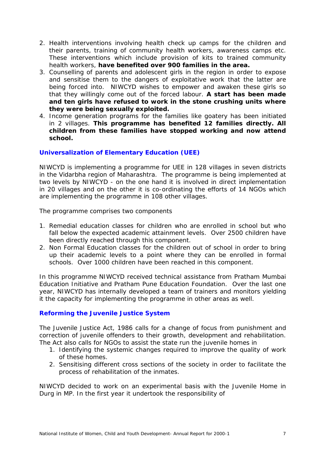- 2. Health interventions involving health check up camps for the children and their parents, training of community health workers, awareness camps etc. These interventions which include provision of kits to trained community health workers, **have benefited over 900 families in the area.**
- 3. Counselling of parents and adolescent girls in the region in order to expose and sensitise them to the dangers of exploitative work that the latter are being forced into. NIWCYD wishes to empower and awaken these girls so that they willingly come out of the forced labour. **A start has been made and ten girls have refused to work in the stone crushing units where they were being sexually exploited.**
- 4. Income generation programs for the families like goatery has been initiated in 2 villages. **This programme has benefited 12 families directly. All children from these families have stopped working and now attend school.**

#### **Universalization of Elementary Education (UEE)**

NIWCYD is implementing a programme for UEE in 128 villages in seven districts in the Vidarbha region of Maharashtra. The programme is being implemented at two levels by NIWCYD - on the one hand it is involved in direct implementation in 20 villages and on the other it is co-ordinating the efforts of 14 NGOs which are implementing the programme in 108 other villages.

The programme comprises two components

- 1. Remedial education classes for children who are enrolled in school but who fall below the expected academic attainment levels. Over 2500 children have been directly reached through this component.
- 2. Non Formal Education classes for the children out of school in order to bring up their academic levels to a point where they can be enrolled in formal schools. Over 1000 children have been reached in this component.

In this programme NIWCYD received technical assistance from Pratham Mumbai Education Initiative and Pratham Pune Education Foundation. Over the last one year, NIWCYD has internally developed a team of trainers and monitors yielding it the capacity for implementing the programme in other areas as well.

#### **Reforming the Juvenile Justice System**

The Juvenile Justice Act, 1986 calls for a change of focus from punishment and correction of juvenile offenders to their growth, development and rehabilitation. The Act also calls for NGOs to assist the state run the juvenile homes in

- 1. Identifying the systemic changes required to improve the quality of work of these homes.
- 2. Sensitising different cross sections of the society in order to facilitate the process of rehabilitation of the inmates.

NIWCYD decided to work on an experimental basis with the Juvenile Home in Durg in MP. In the first year it undertook the responsibility of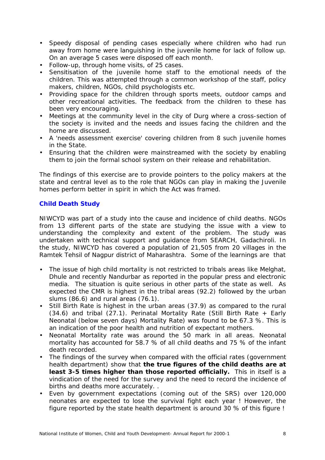- Speedy disposal of pending cases especially where children who had run away from home were languishing in the juvenile home for lack of follow up. On an average 5 cases were disposed off each month.
- Follow-up, through home visits, of 25 cases.
- Sensitisation of the juvenile home staff to the emotional needs of the children. This was attempted through a common workshop of the staff, policy makers, children, NGOs, child psychologists etc.
- Providing space for the children through sports meets, outdoor camps and other recreational activities. The feedback from the children to these has been very encouraging.
- Meetings at the community level in the city of Durg where a cross-section of the society is invited and the needs and issues facing the children and the home are discussed.
- A 'needs assessment exercise' covering children from 8 such juvenile homes in the State.
- Ensuring that the children were mainstreamed with the society by enabling them to join the formal school system on their release and rehabilitation.

The findings of this exercise are to provide pointers to the policy makers at the state and central level as to the role that NGOs can play in making the Juvenile homes perform better in spirit in which the Act was framed.

#### **Child Death Study**

NIWCYD was part of a study into the cause and incidence of child deaths. NGOs from 13 different parts of the state are studying the issue with a view to understanding the complexity and extent of the problem. The study was undertaken with technical support and guidance from SEARCH, Gadachiroli. In the study, NIWCYD has covered a population of 21,505 from 20 villages in the Ramtek Tehsil of Nagpur district of Maharashtra. Some of the learnings are that

- The issue of high child mortality is not restricted to tribals areas like Melghat, Dhule and recently Nandurbar as reported in the popular press and electronic media. The situation is quite serious in other parts of the state as well. As expected the CMR is highest in the tribal areas (92.2) followed by the urban slums (86.6) and rural areas (76.1).
- Still Birth Rate is highest in the urban areas (37.9) as compared to the rural (34.6) and tribal (27.1). Perinatal Mortality Rate (Still Birth Rate + Early Neonatal (below seven days) Mortality Rate) was found to be 67.3 %. This is an indication of the poor health and nutrition of expectant mothers.
- Neonatal Mortality rate was around the 50 mark in all areas. Neonatal mortality has accounted for 58.7 % of all child deaths and 75 % of the infant death recorded.
- The findings of the survey when compared with the official rates (government health department) show that **the true figures of the child deaths are at least 3-5 times higher than those reported officially.** This in itself is a vindication of the need for the survey and the need to record the incidence of births and deaths more accurately. .
- Even by government expectations (coming out of the SRS) over 120,000 neonates are expected to lose the survival fight each year ! However, the figure reported by the state health department is around 30 % of this figure !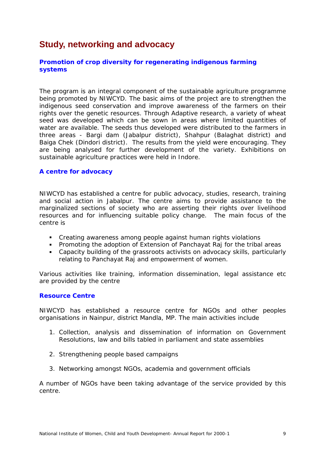# **Study, networking and advocacy**

#### **Promotion of crop diversity for regenerating indigenous farming systems**

The program is an integral component of the sustainable agriculture programme being promoted by NIWCYD. The basic aims of the project are to strengthen the indigenous seed conservation and improve awareness of the farmers on their rights over the genetic resources. Through Adaptive research, a variety of wheat seed was developed which can be sown in areas where limited quantities of water are available. The seeds thus developed were distributed to the farmers in three areas - Bargi dam (Jabalpur district), Shahpur (Balaghat district) and Baiga Chek (Dindori district). The results from the yield were encouraging. They are being analysed for further development of the variety. Exhibitions on sustainable agriculture practices were held in Indore.

#### **A centre for advocacy**

NIWCYD has established a centre for public advocacy, studies, research, training and social action in Jabalpur. The centre aims to provide assistance to the marginalized sections of society who are asserting their rights over livelihood resources and for influencing suitable policy change. The main focus of the centre is

- ! Creating awareness among people against human rights violations
- ! Promoting the adoption of Extension of Panchayat Raj for the tribal areas
- ! Capacity building of the grassroots activists on advocacy skills, particularly relating to Panchayat Raj and empowerment of women.

Various activities like training, information dissemination, legal assistance etc are provided by the centre

#### **Resource Centre**

NIWCYD has established a resource centre for NGOs and other peoples organisations in Nainpur, district Mandla, MP. The main activities include

- 1. Collection, analysis and dissemination of information on Government Resolutions, law and bills tabled in parliament and state assemblies
- 2. Strengthening people based campaigns
- 3. Networking amongst NGOs, academia and government officials

A number of NGOs have been taking advantage of the service provided by this centre.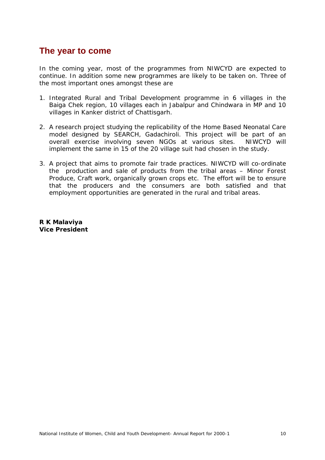## **The year to come**

In the coming year, most of the programmes from NIWCYD are expected to continue. In addition some new programmes are likely to be taken on. Three of the most important ones amongst these are

- 1. Integrated Rural and Tribal Development programme in 6 villages in the Baiga Chek region, 10 villages each in Jabalpur and Chindwara in MP and 10 villages in Kanker district of Chattisgarh.
- 2. A research project studying the replicability of the Home Based Neonatal Care model designed by SEARCH, Gadachiroli. This project will be part of an overall exercise involving seven NGOs at various sites. NIWCYD will implement the same in 15 of the 20 village suit had chosen in the study.
- 3. A project that aims to promote fair trade practices. NIWCYD will co-ordinate the production and sale of products from the tribal areas – Minor Forest Produce, Craft work, organically grown crops etc. The effort will be to ensure that the producers and the consumers are both satisfied and that employment opportunities are generated in the rural and tribal areas.

**R K Malaviya Vice President**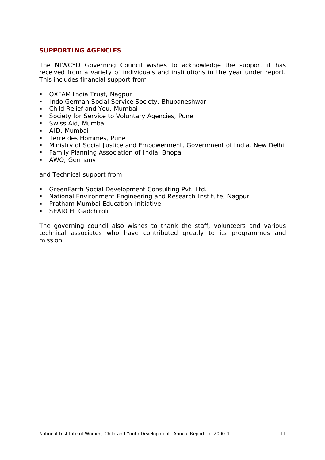#### **SUPPORTING AGENCIES**

The NIWCYD Governing Council wishes to acknowledge the support it has received from a variety of individuals and institutions in the year under report. This includes financial support from

- ! OXFAM India Trust, Nagpur
- **Indo German Social Service Society, Bhubaneshwar**
- ! Child Relief and You, Mumbai
- **EXECT:** Society for Service to Voluntary Agencies, Pune
- ! Swiss Aid, Mumbai
- ! AID, Mumbai
- **EXEC** Terre des Hommes, Pune
- ! Ministry of Social Justice and Empowerment, Government of India, New Delhi
- **EXECUTE:** Family Planning Association of India, Bhopal
- ! AWO, Germany

and Technical support from

- ! GreenEarth Social Development Consulting Pvt. Ltd.
- ! National Environment Engineering and Research Institute, Nagpur
- ! Pratham Mumbai Education Initiative
- **E. SEARCH, Gadchiroli**

The governing council also wishes to thank the staff, volunteers and various technical associates who have contributed greatly to its programmes and mission.